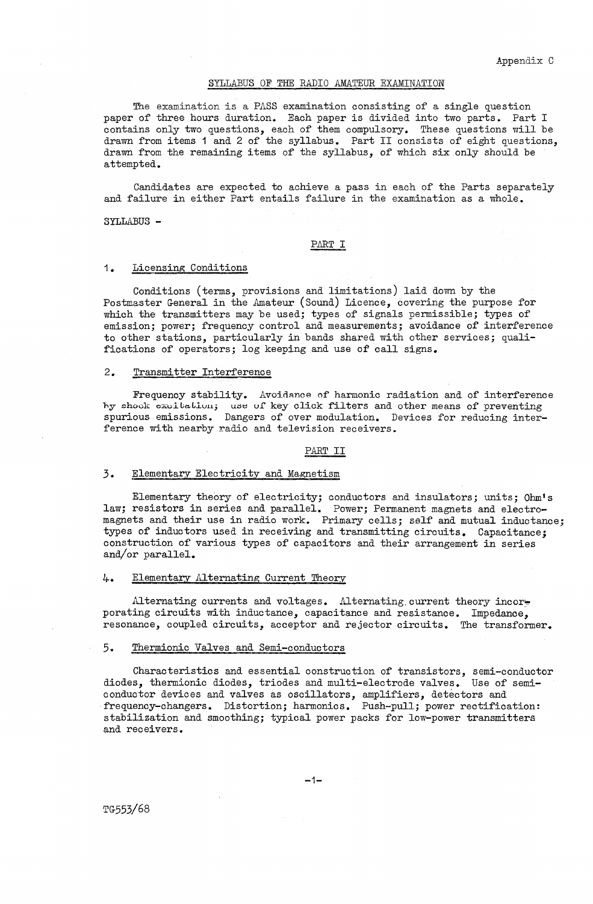### SYLLABUS OF THE RADIO AMATEUR EXAMINATION

The examination is a PASS examination consisting of a single question paper of three hours duration. Each paper is divided into two parts. Part I contains only two questions, each of them compulsory. These questions will be drawn from items 1 and 2 of the syllabus. Part II consists of eight questions, drawn from the remaining items of the syllabus, of which six only should be attempted.

Candidates are expected to achieve a pass in each of the Parts separately and failure in either Part entails failure in the examination as a whole.

SYLLABUS -

## PART I

## 1. Licensing Conditions

Conditions (terms, provisions and limitations) laid down by the Postmaster General in the Amateur (Sound) Licence, covering the purpose for which the transmitters may be used; types of signals permissible; types of emission; power; frequency control and measurements; avoidance of interference to other stations, particularly in bands shared with other services; qualifications of operators; log keeping and use of call signs.

## 2. Transmitter Interference

Frequency stability. Avoidance of harmonic radiation and of interference hy shook excitation; use of key click filters and other means of preventing spurious emissions. Dangers of over modulation. Devices for reducing interference with nearby radio and television receivers.

#### PART II

## 3. Elementary Electricity and Magnetism

Elementary theory of electricity; conductors and insulators; units; Ohm's law; resistors in series and parallel. Power; Permanent magnets and electromagnets and their use in radio work. Primary cells; self and mutual inductance; types of inductors used in receiving and transmitting circuits. Capacitance; construction of various types of capacitors and their arrangement in series and/or parallel.

#### 4-. Elementary Alternating Current Theory

Alternating currents and voltages. Alternating current theory incorporating circuits with inductance, capacitance and resistance. Impedance, resonance, coupled circuits, acceptor and rejector circuits. The transformer.

#### 5. Thermionic Valves and Semi-conductors

Characteristics and essential construction of transistors, semi-conductor diodes, thermionic diodes, triodes and multi-electrode valves. Use of semiconductor devices and valves as oscillators, amplifiers, detectors and frequency-changers. Distortion; harmonics. Push-pull; power rectification: stabilization and smoothing; typical power packs for low-power transmitters and receivers.

TG553/68